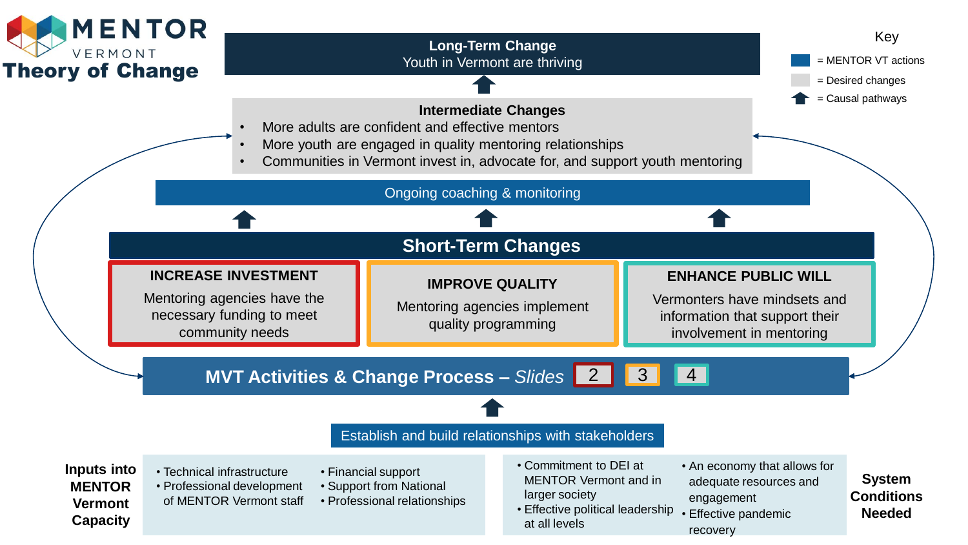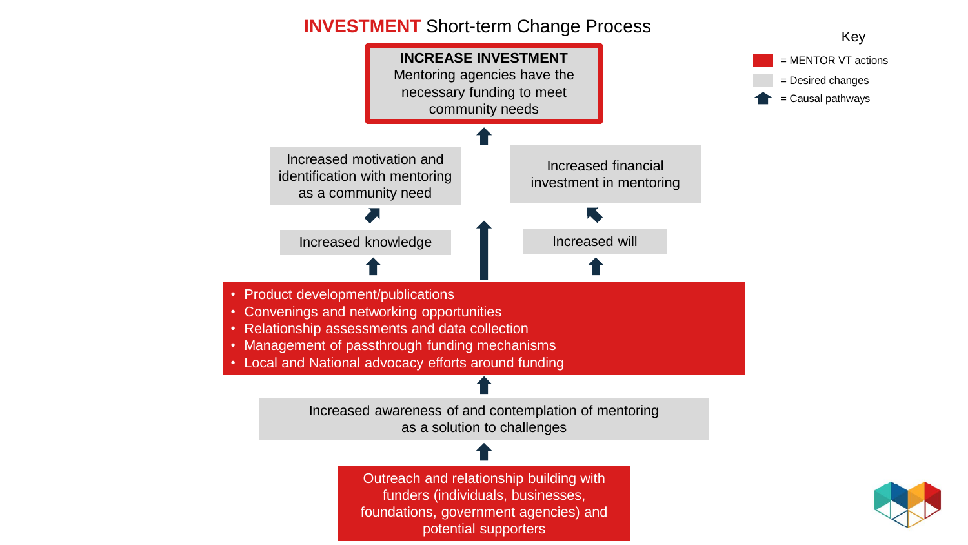## **INVESTMENT** Short-term Change Process Key



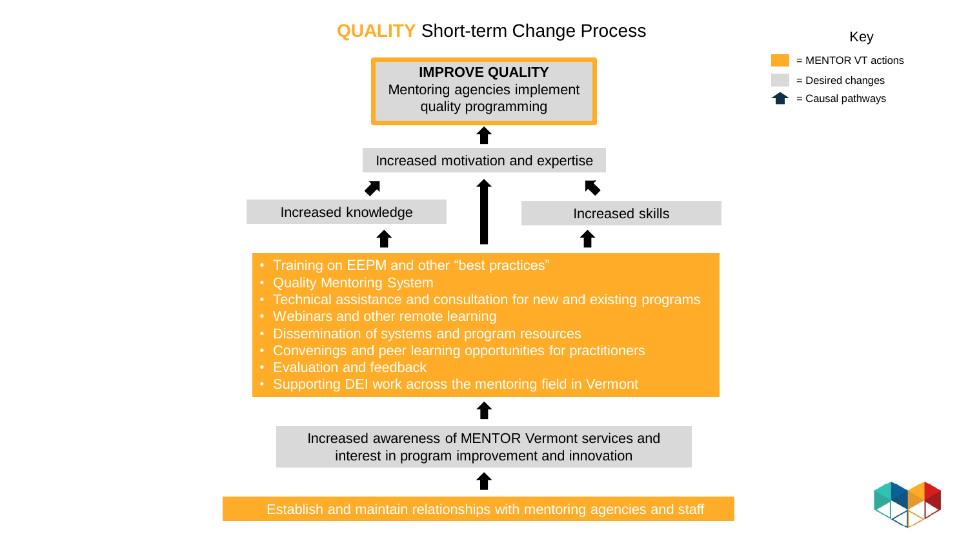## **QUALITY** Short-term Change Process Key



Establish and maintain relationships with mentoring agencies and staff